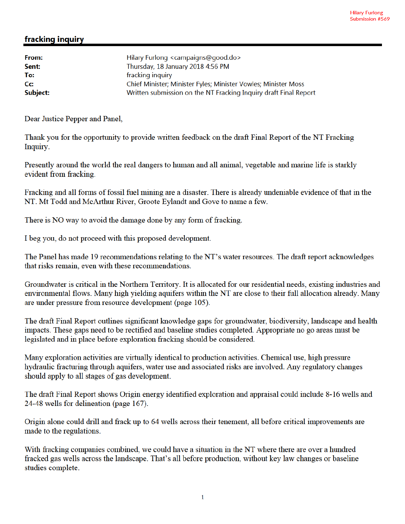## fracking inquiry

| Hilary Furlong <campaigns@good.do></campaigns@good.do>           |
|------------------------------------------------------------------|
| Thursday, 18 January 2018 4:56 PM                                |
| fracking inquiry                                                 |
| Chief Minister; Minister Fyles; Minister Vowles; Minister Moss   |
| Written submission on the NT Fracking Inquiry draft Final Report |
|                                                                  |

Dear Justice Pepper and Panel,

Thank you for the opportunity to provide written feedback on the draft Final Report of the NT Fracking Inquiry.

Presently around the world the real dangers to human and all animal, vegetable and marine life is starkly evident from fracking.

Fracking and all forms of fossil fuel mining are a disaster. There is already undeniable evidence of that in the NT. Mt Todd and McArthur River, Groote Evlandt and Gove to name a few.

There is NO way to avoid the damage done by any form of fracking.

I beg you, do not proceed with this proposed development.

The Panel has made 19 recommendations relating to the NT's water resources. The draft report acknowledges that risks remain, even with these recommendations.

Groundwater is critical in the Northern Territory. It is allocated for our residential needs, existing industries and environmental flows. Many high yielding aquifers within the NT are close to their full allocation already. Many are under pressure from resource development (page 105).

The draft Final Report outlines significant knowledge gaps for groundwater, biodiversity, landscape and health impacts. These gaps need to be rectified and baseline studies completed. Appropriate no go areas must be legislated and in place before exploration fracking should be considered.

Many exploration activities are virtually identical to production activities. Chemical use, high pressure hydraulic fracturing through aquifers, water use and associated risks are involved. Any regulatory changes should apply to all stages of gas development.

The draft Final Report shows Origin energy identified exploration and appraisal could include 8-16 wells and 24-48 wells for delineation (page 167).

Origin alone could drill and frack up to 64 wells across their tenement, all before critical improvements are made to the regulations.

With fracking companies combined, we could have a situation in the NT where there are over a hundred fracked gas wells across the landscape. That's all before production, without key law changes or baseline studies complete.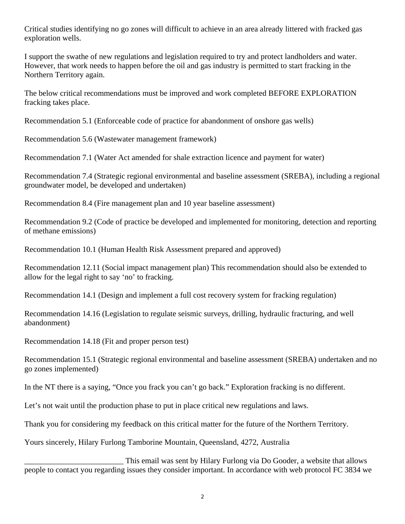Critical studies identifying no go zones will difficult to achieve in an area already littered with fracked gas exploration wells.

I support the swathe of new regulations and legislation required to try and protect landholders and water. However, that work needs to happen before the oil and gas industry is permitted to start fracking in the Northern Territory again.

The below critical recommendations must be improved and work completed BEFORE EXPLORATION fracking takes place.

Recommendation 5.1 (Enforceable code of practice for abandonment of onshore gas wells)

Recommendation 5.6 (Wastewater management framework)

Recommendation 7.1 (Water Act amended for shale extraction licence and payment for water)

Recommendation 7.4 (Strategic regional environmental and baseline assessment (SREBA), including a regional groundwater model, be developed and undertaken)

Recommendation 8.4 (Fire management plan and 10 year baseline assessment)

Recommendation 9.2 (Code of practice be developed and implemented for monitoring, detection and reporting of methane emissions)

Recommendation 10.1 (Human Health Risk Assessment prepared and approved)

Recommendation 12.11 (Social impact management plan) This recommendation should also be extended to allow for the legal right to say 'no' to fracking.

Recommendation 14.1 (Design and implement a full cost recovery system for fracking regulation)

Recommendation 14.16 (Legislation to regulate seismic surveys, drilling, hydraulic fracturing, and well abandonment)

Recommendation 14.18 (Fit and proper person test)

Recommendation 15.1 (Strategic regional environmental and baseline assessment (SREBA) undertaken and no go zones implemented)

In the NT there is a saying, "Once you frack you can't go back." Exploration fracking is no different.

Let's not wait until the production phase to put in place critical new regulations and laws.

Thank you for considering my feedback on this critical matter for the future of the Northern Territory.

Yours sincerely, Hilary Furlong Tamborine Mountain, Queensland, 4272, Australia

This email was sent by Hilary Furlong via Do Gooder, a website that allows people to contact you regarding issues they consider important. In accordance with web protocol FC 3834 we